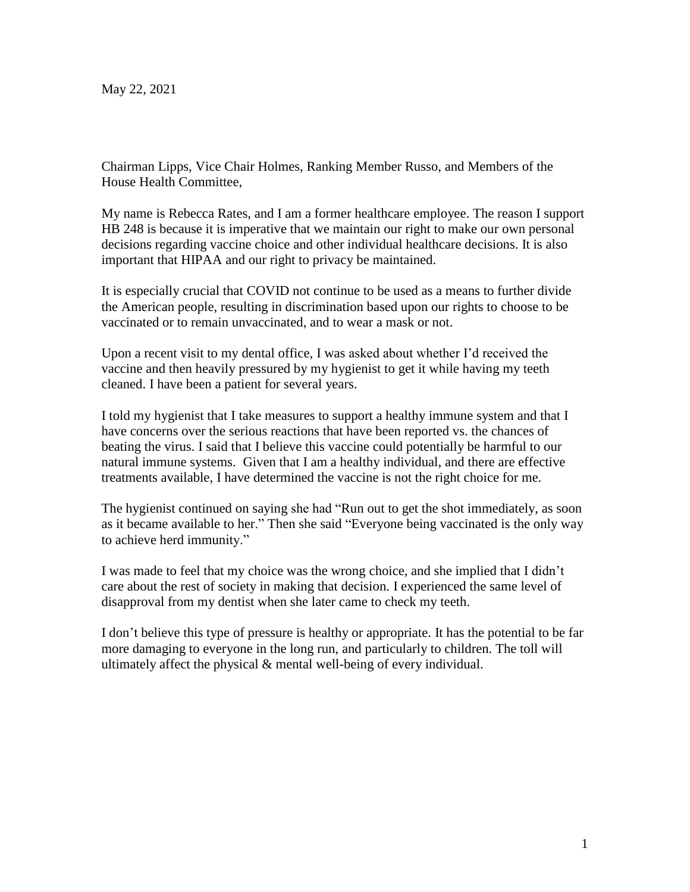May 22, 2021

Chairman Lipps, Vice Chair Holmes, Ranking Member Russo, and Members of the House Health Committee,

My name is Rebecca Rates, and I am a former healthcare employee. The reason I support HB 248 is because it is imperative that we maintain our right to make our own personal decisions regarding vaccine choice and other individual healthcare decisions. It is also important that HIPAA and our right to privacy be maintained.

It is especially crucial that COVID not continue to be used as a means to further divide the American people, resulting in discrimination based upon our rights to choose to be vaccinated or to remain unvaccinated, and to wear a mask or not.

Upon a recent visit to my dental office, I was asked about whether I'd received the vaccine and then heavily pressured by my hygienist to get it while having my teeth cleaned. I have been a patient for several years.

I told my hygienist that I take measures to support a healthy immune system and that I have concerns over the serious reactions that have been reported vs. the chances of beating the virus. I said that I believe this vaccine could potentially be harmful to our natural immune systems. Given that I am a healthy individual, and there are effective treatments available, I have determined the vaccine is not the right choice for me.

The hygienist continued on saying she had "Run out to get the shot immediately, as soon as it became available to her." Then she said "Everyone being vaccinated is the only way to achieve herd immunity."

I was made to feel that my choice was the wrong choice, and she implied that I didn't care about the rest of society in making that decision. I experienced the same level of disapproval from my dentist when she later came to check my teeth.

I don't believe this type of pressure is healthy or appropriate. It has the potential to be far more damaging to everyone in the long run, and particularly to children. The toll will ultimately affect the physical & mental well-being of every individual.